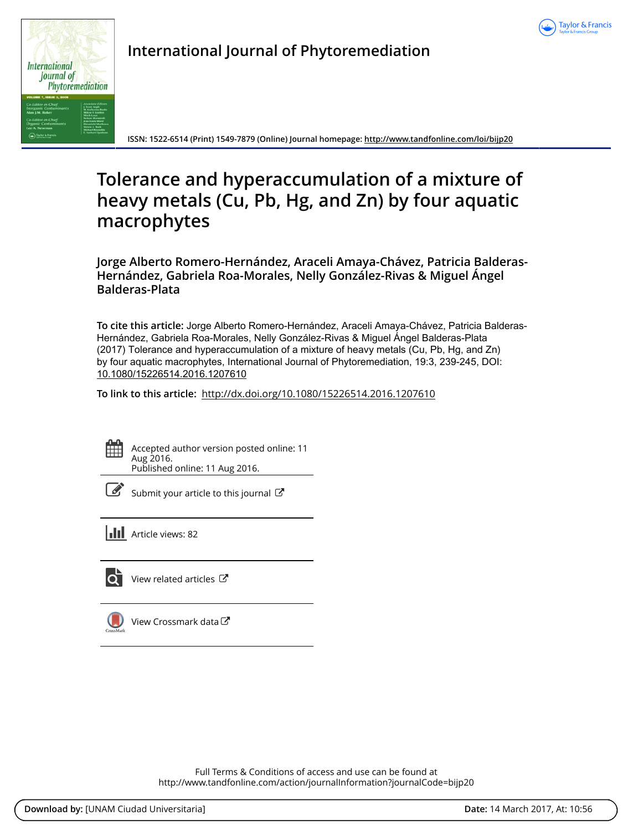



**International Journal of Phytoremediation**

**ISSN: 1522-6514 (Print) 1549-7879 (Online) Journal homepage:<http://www.tandfonline.com/loi/bijp20>**

# **Tolerance and hyperaccumulation of a mixture of heavy metals (Cu, Pb, Hg, and Zn) by four aquatic macrophytes**

**Jorge Alberto Romero-Hernández, Araceli Amaya-Chávez, Patricia Balderas-Hernández, Gabriela Roa-Morales, Nelly González-Rivas & Miguel Ángel Balderas-Plata**

**To cite this article:** Jorge Alberto Romero-Hernández, Araceli Amaya-Chávez, Patricia Balderas-Hernández, Gabriela Roa-Morales, Nelly González-Rivas & Miguel Ángel Balderas-Plata (2017) Tolerance and hyperaccumulation of a mixture of heavy metals (Cu, Pb, Hg, and Zn) by four aquatic macrophytes, International Journal of Phytoremediation, 19:3, 239-245, DOI: [10.1080/15226514.2016.1207610](http://www.tandfonline.com/action/showCitFormats?doi=10.1080/15226514.2016.1207610)

**To link to this article:** <http://dx.doi.org/10.1080/15226514.2016.1207610>



Accepted author version posted online: 11 Aug 2016. Published online: 11 Aug 2016.



[Submit your article to this journal](http://www.tandfonline.com/action/authorSubmission?journalCode=bijp20&show=instructions)  $\mathbb{Z}$ 

**Article views: 82** 



 $\overrightarrow{O}$  [View related articles](http://www.tandfonline.com/doi/mlt/10.1080/15226514.2016.1207610)  $\overrightarrow{C}$ 



 $\Box$  [View Crossmark data](http://crossmark.crossref.org/dialog/?doi=10.1080/15226514.2016.1207610&domain=pdf&date_stamp=2016-08-11) $\Box$ 

Full Terms & Conditions of access and use can be found at <http://www.tandfonline.com/action/journalInformation?journalCode=bijp20>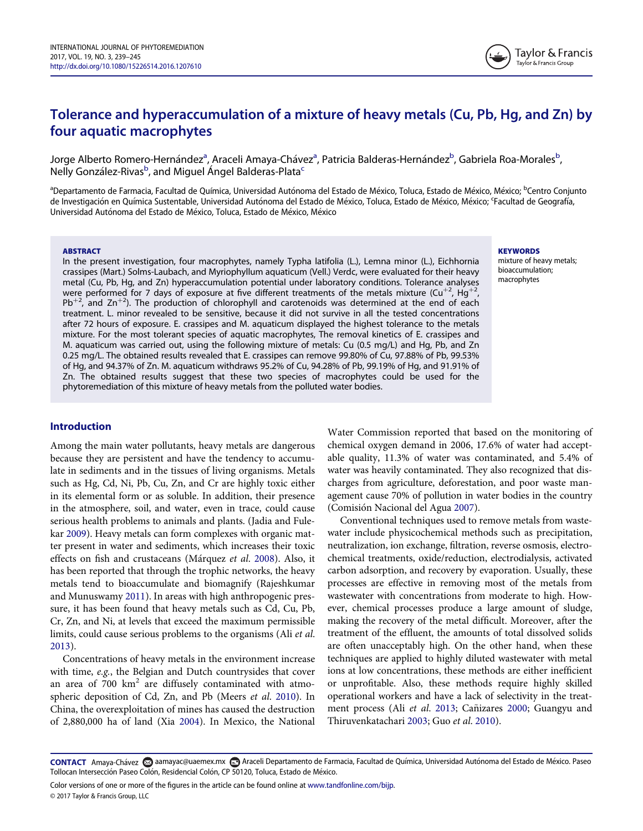## Tolerance and hyperaccumulation of a mixture of heavy metals (Cu, Pb, Hg, and Zn) by four aquatic macrophytes

Jorge Alberto Romero-Hernández<sup>[a](#page-1-0)</sup>, Araceli Amaya-Chávez<sup>a</sup>, Patricia Balderas-Hernández<sup>b</sup>, Gabriela Roa-Morales<sup>b</sup> , Nelly González-Rivas<sup>b</sup>, and Miguel Ángel Balderas-Plata<sup>[c](#page-1-1)</sup>

<span id="page-1-1"></span><span id="page-1-0"></span><sup>a</sup>Departamento de Farmacia, Facultad de Química, Universidad Autónoma del Estado de México, Toluca, Estado de México, México; <sup>b</sup>Centro Conjunto de Investigación en Química Sustentable, Universidad Autónoma del Estado de México, Toluca, Estado de México, México; <sup>c</sup>Facultad de Geografía, Universidad Autónoma del Estado de México, Toluca, Estado de México, México

#### ABSTRACT

In the present investigation, four macrophytes, namely Typha latifolia (L.), Lemna minor (L.), Eichhornia crassipes (Mart.) Solms-Laubach, and Myriophyllum aquaticum (Vell.) Verdc, were evaluated for their heavy metal (Cu, Pb, Hg, and Zn) hyperaccumulation potential under laboratory conditions. Tolerance analyses were performed for 7 days of exposure at five different treatments of the metals mixture ( $Cu$ <sup>+2</sup> ,  $Hg^{+2}$ ,  $Pb^{+2}$ , and Zn<sup>+2</sup>). The production of chlorophyll and carotenoids was determined at the end of each treatment. L. minor revealed to be sensitive, because it did not survive in all the tested concentrations after 72 hours of exposure. E. crassipes and M. aquaticum displayed the highest tolerance to the metals mixture. For the most tolerant species of aquatic macrophytes, The removal kinetics of E. crassipes and M. aquaticum was carried out, using the following mixture of metals: Cu (0.5 mg/L) and Hg, Pb, and Zn 0.25 mg/L. The obtained results revealed that E. crassipes can remove 99.80% of Cu, 97.88% of Pb, 99.53% of Hg, and 94.37% of Zn. M. aquaticum withdraws 95.2% of Cu, 94.28% of Pb, 99.19% of Hg, and 91.91% of Zn. The obtained results suggest that these two species of macrophytes could be used for the phytoremediation of this mixture of heavy metals from the polluted water bodies.

## Introduction

Among the main water pollutants, heavy metals are dangerous because they are persistent and have the tendency to accumulate in sediments and in the tissues of living organisms. Metals such as Hg, Cd, Ni, Pb, Cu, Zn, and Cr are highly toxic either in its elemental form or as soluble. In addition, their presence in the atmosphere, soil, and water, even in trace, could cause serious health problems to animals and plants. (Jadia and Fulekar [2009](#page-6-0)). Heavy metals can form complexes with organic matter present in water and sediments, which increases their toxic effects on fish and crustaceans (Márquez et al. [2008](#page-6-1)). Also, it has been reported that through the trophic networks, the heavy metals tend to bioaccumulate and biomagnify (Rajeshkumar and Munuswamy [2011\)](#page-7-0). In areas with high anthropogenic pressure, it has been found that heavy metals such as Cd, Cu, Pb, Cr, Zn, and Ni, at levels that exceed the maximum permissible limits, could cause serious problems to the organisms (Ali et al. [2013\)](#page-6-2).

Concentrations of heavy metals in the environment increase with time, e.g., the Belgian and Dutch countrysides that cover an area of  $700 \text{ km}^2$  are diffusely contaminated with atmospheric deposition of Cd, Zn, and Pb (Meers et al. [2010\)](#page-6-3). In China, the overexploitation of mines has caused the destruction of 2,880,000 ha of land (Xia [2004](#page-7-1)). In Mexico, the National

Water Commission reported that based on the monitoring of chemical oxygen demand in 2006, 17.6% of water had acceptable quality, 11.3% of water was contaminated, and 5.4% of water was heavily contaminated. They also recognized that discharges from agriculture, deforestation, and poor waste management cause 70% of pollution in water bodies in the country (Comision Nacional del Agua [2007\)](#page-6-4).

Conventional techniques used to remove metals from wastewater include physicochemical methods such as precipitation, neutralization, ion exchange, filtration, reverse osmosis, electrochemical treatments, oxide/reduction, electrodialysis, activated carbon adsorption, and recovery by evaporation. Usually, these processes are effective in removing most of the metals from wastewater with concentrations from moderate to high. However, chemical processes produce a large amount of sludge, making the recovery of the metal difficult. Moreover, after the treatment of the effluent, the amounts of total dissolved solids are often unacceptably high. On the other hand, when these techniques are applied to highly diluted wastewater with metal ions at low concentrations, these methods are either inefficient or unprofitable. Also, these methods require highly skilled operational workers and have a lack of selectivity in the treat-ment process (Ali et al. [2013;](#page-6-2) Cañizares [2000](#page-6-5); Guangyu and Thiruvenkatachari [2003](#page-6-6); Guo et al. [2010\)](#page-6-7).

CONTACT Amaya-Chávez a aamayac@uaemex.mx **a Araceli Departamento de Farmacia**, Facultad de Química, Universidad Autónoma del Estado de México. Paseo Tollocan Intersección Paseo Colón, Residencial Colón, CP 50120, Toluca, Estado de México.

Color versions of one or more of the figures in the article can be found online at [www.tandfonline.com/bijp.](http://www.tandfonline.com/bijp) © 2017 Taylor & Francis Group, LLC

**KEYWORDS** 

mixture of heavy metals; bioaccumulation; macrophytes

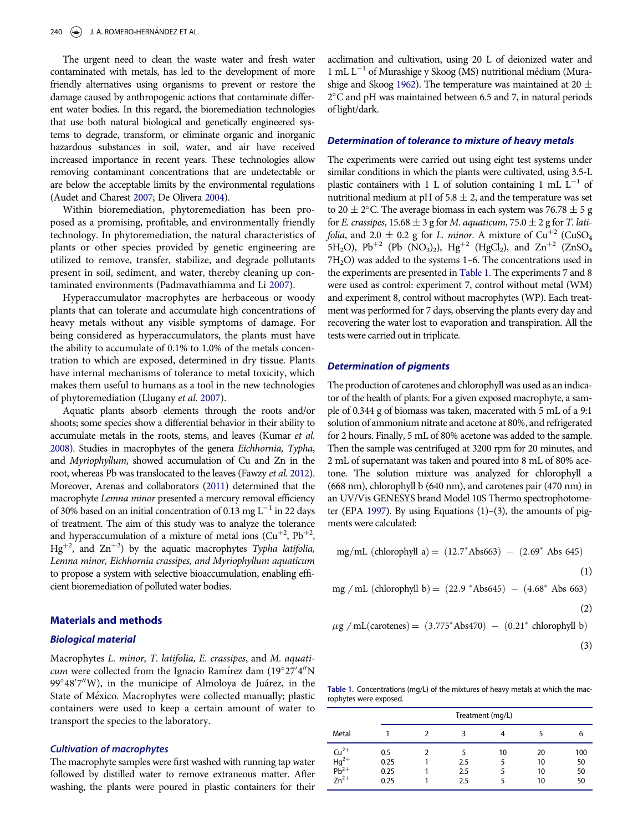The urgent need to clean the waste water and fresh water contaminated with metals, has led to the development of more friendly alternatives using organisms to prevent or restore the damage caused by anthropogenic actions that contaminate different water bodies. In this regard, the bioremediation technologies that use both natural biological and genetically engineered systems to degrade, transform, or eliminate organic and inorganic hazardous substances in soil, water, and air have received increased importance in recent years. These technologies allow removing contaminant concentrations that are undetectable or are below the acceptable limits by the environmental regulations (Audet and Charest [2007](#page-6-8); De Olivera [2004\)](#page-6-9).

Within bioremediation, phytoremediation has been proposed as a promising, profitable, and environmentally friendly technology. In phytoremediation, the natural characteristics of plants or other species provided by genetic engineering are utilized to remove, transfer, stabilize, and degrade pollutants present in soil, sediment, and water, thereby cleaning up contaminated environments (Padmavathiamma and Li [2007\)](#page-7-2).

Hyperaccumulator macrophytes are herbaceous or woody plants that can tolerate and accumulate high concentrations of heavy metals without any visible symptoms of damage. For being considered as hyperaccumulators, the plants must have the ability to accumulate of 0.1% to 1.0% of the metals concentration to which are exposed, determined in dry tissue. Plants have internal mechanisms of tolerance to metal toxicity, which makes them useful to humans as a tool in the new technologies of phytoremediation (Llugany et al. [2007\)](#page-6-10).

Aquatic plants absorb elements through the roots and/or shoots; some species show a differential behavior in their ability to accumulate metals in the roots, stems, and leaves (Kumar et al. [2008](#page-6-11)). Studies in macrophytes of the genera Eichhornia, Typha, and Myriophyllum, showed accumulation of Cu and Zn in the root, whereas Pb was translocated to the leaves (Fawzy et al. [2012\)](#page-6-12). Moreover, Arenas and collaborators [\(2011\)](#page-6-13) determined that the macrophyte Lemna minor presented a mercury removal efficiency of 30% based on an initial concentration of 0.13 mg  $L^{-1}$  in 22 days of treatment. The aim of this study was to analyze the tolerance and hyperaccumulation of a mixture of metal ions  $(Cu^{+2}, Pb^{+2},$  $Hg^{+2}$ , and  $Zn^{+2}$ ) by the aquatic macrophytes Typha latifolia, Lemna minor, Eichhornia crassipes, and Myriophyllum aquaticum to propose a system with selective bioaccumulation, enabling efficient bioremediation of polluted water bodies.

#### Materials and methods

## Biological material

<span id="page-2-0"></span>Macrophytes L. minor, T. latifolia, E. crassipes, and M. aquati*cum* were collected from the Ignacio Ramírez dam  $(19°27'4'N)$ 99°48′7″W), in the municipe of Almoloya de Juárez, in the State of México. Macrophytes were collected manually; plastic containers were used to keep a certain amount of water to transport the species to the laboratory.

#### Cultivation of macrophytes

The macrophyte samples were first washed with running tap water followed by distilled water to remove extraneous matter. After washing, the plants were poured in plastic containers for their acclimation and cultivation, using 20 L of deionized water and 1 mL  $L^{-1}$  of Murashige y Skoog (MS) nutritional médium (Mura-shige and Skoog [1962\)](#page-6-14). The temperature was maintained at 20  $\pm$  $2^{\circ}$ C and pH was maintained between 6.5 and 7, in natural periods of light/dark.

#### Determination of tolerance to mixture of heavy metals

The experiments were carried out using eight test systems under similar conditions in which the plants were cultivated, using 3.5-L plastic containers with 1 L of solution containing 1 mL  $L^{-1}$  of nutritional medium at pH of  $5.8 \pm 2$ , and the temperature was set to 20  $\pm$  2°C. The average biomass in each system was 76.78  $\pm$  5 g for E. crassipes,  $15.68 \pm 3$  g for M. aquaticum,  $75.0 \pm 2$  g for T. lati*folia*, and 2.0  $\pm$  0.2 g for *L. minor.* A mixture of Cu<sup>+2</sup> (CuSO<sub>4</sub> 5H<sub>2</sub>O), Pb<sup>+2</sup> (Pb (NO<sub>3</sub>)<sub>2</sub>), Hg<sup>+2</sup> (HgCl<sub>2</sub>), and Zn<sup>+2</sup> (ZnSO<sub>4</sub>)  $7H<sub>2</sub>O$ ) was added to the systems 1–6. The concentrations used in the experiments are presented in [Table 1.](#page-2-0) The experiments 7 and 8 were used as control: experiment 7, control without metal (WM) and experiment 8, control without macrophytes (WP). Each treatment was performed for 7 days, observing the plants every day and recovering the water lost to evaporation and transpiration. All the tests were carried out in triplicate.

## Determination of pigments

The production of carotenes and chlorophyll was used as an indicator of the health of plants. For a given exposed macrophyte, a sample of 0.344 g of biomass was taken, macerated with 5 mL of a 9:1 solution of ammonium nitrate and acetone at 80%, and refrigerated for 2 hours. Finally, 5 mL of 80% acetone was added to the sample. Then the sample was centrifuged at 3200 rpm for 20 minutes, and 2 mL of supernatant was taken and poured into 8 mL of 80% acetone. The solution mixture was analyzed for chlorophyll a (668 nm), chlorophyll b (640 nm), and carotenes pair (470 nm) in an UV/Vis GENESYS brand Model 10S Thermo spectrophotometer (EPA [1997\)](#page-6-15). By using Equations (1)–(3), the amounts of pigments were calculated:

mg/mL (chlorophyll a) = 
$$
(12.7^*
$$
 Abs663) -  $(2.69^*$  Abs 645)

$$
(1)
$$

$$
mg / mL (chlorophyll b) = (22.9 * Abs645) - (4.68 * Abs 663)
$$

$$
^{(2)}
$$

$$
\mu g / mL(carotenes) = (3.775 * Abs470) - (0.21 * chlorophyll b)
$$

$$
(\mathbf{3})
$$

Table 1. Concentrations (mg/L) of the mixtures of heavy metals at which the macrophytes were exposed.

|                                                                         |                             | Treatment (mg/L) |                   |    |                      |                       |
|-------------------------------------------------------------------------|-----------------------------|------------------|-------------------|----|----------------------|-----------------------|
| Metal                                                                   |                             |                  |                   |    |                      | 6                     |
| $\begin{array}{l} Cu^{2+} \\ Hg^{2+} \\ Pb^{2+} \\ Zn^{2+} \end{array}$ | 0.5<br>0.25<br>0.25<br>0.25 |                  | 2.5<br>2.5<br>2.5 | 10 | 20<br>10<br>10<br>10 | 100<br>50<br>50<br>50 |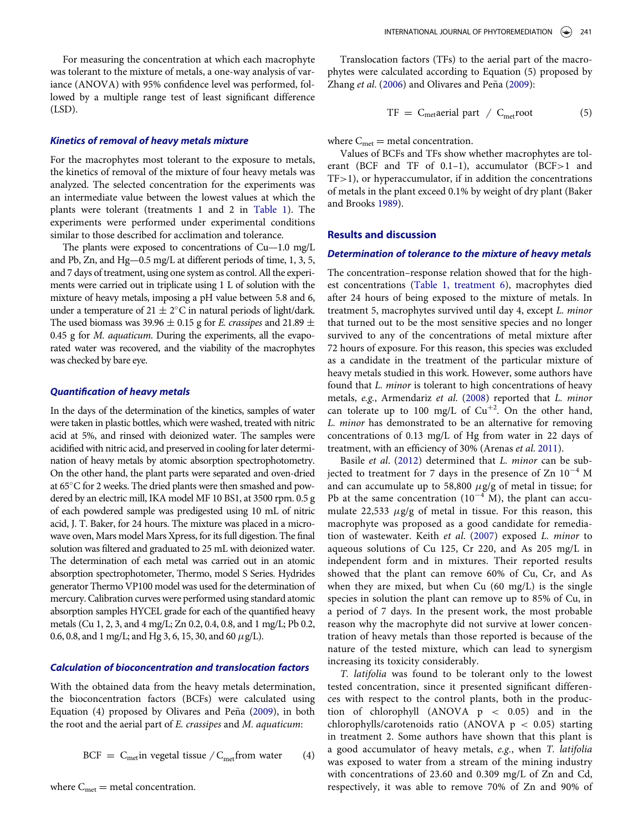For measuring the concentration at which each macrophyte was tolerant to the mixture of metals, a one-way analysis of variance (ANOVA) with 95% confidence level was performed, followed by a multiple range test of least significant difference (LSD).

## Kinetics of removal of heavy metals mixture

For the macrophytes most tolerant to the exposure to metals, the kinetics of removal of the mixture of four heavy metals was analyzed. The selected concentration for the experiments was an intermediate value between the lowest values at which the plants were tolerant (treatments 1 and 2 in [Table 1\)](#page-2-0). The experiments were performed under experimental conditions similar to those described for acclimation and tolerance.

The plants were exposed to concentrations of Cu—1.0 mg/L and Pb, Zn, and Hg—0.5 mg/L at different periods of time, 1, 3, 5, and 7 days of treatment, using one system as control. All the experiments were carried out in triplicate using 1 L of solution with the mixture of heavy metals, imposing a pH value between 5.8 and 6, under a temperature of  $21 \pm 2^{\circ}$ C in natural periods of light/dark. The used biomass was 39.96  $\pm$  0.15 g for *E. crassipes* and 21.89  $\pm$ 0.45 g for M. aquaticum. During the experiments, all the evaporated water was recovered, and the viability of the macrophytes was checked by bare eye.

## Quantification of heavy metals

In the days of the determination of the kinetics, samples of water were taken in plastic bottles, which were washed, treated with nitric acid at 5%, and rinsed with deionized water. The samples were acidified with nitric acid, and preserved in cooling for later determination of heavy metals by atomic absorption spectrophotometry. On the other hand, the plant parts were separated and oven-dried at  $65^{\circ}$ C for 2 weeks. The dried plants were then smashed and powdered by an electric mill, IKA model MF 10 BS1, at 3500 rpm. 0.5 g of each powdered sample was predigested using 10 mL of nitric acid, J. T. Baker, for 24 hours. The mixture was placed in a microwave oven, Mars model Mars Xpress, for its full digestion. The final solution was filtered and graduated to 25 mL with deionized water. The determination of each metal was carried out in an atomic absorption spectrophotometer, Thermo, model S Series. Hydrides generator Thermo VP100 model was used for the determination of mercury. Calibration curves were performed using standard atomic absorption samples HYCEL grade for each of the quantified heavy metals (Cu 1, 2, 3, and 4 mg/L; Zn 0.2, 0.4, 0.8, and 1 mg/L; Pb 0.2, 0.6, 0.8, and 1 mg/L; and Hg 3, 6, 15, 30, and 60  $\mu$ g/L).

## Calculation of bioconcentration and translocation factors

With the obtained data from the heavy metals determination, the bioconcentration factors (BCFs) were calculated using Equation  $(4)$  proposed by Olivares and Peña  $(2009)$  $(2009)$  $(2009)$ , in both the root and the aerial part of E. crassipes and M. aquaticum:

$$
BCF = C_{met} \text{in vegetal tissue} / C_{met} \text{from water} \qquad (4)
$$

Translocation factors (TFs) to the aerial part of the macrophytes were calculated according to Equation (5) proposed by Zhang et al. ([2006\)](#page-7-3) and Olivares and Peña ([2009\)](#page-6-16):

$$
TF = C_{\text{met}}\text{aerial part } / C_{\text{met}}\text{root} \tag{5}
$$

where  $C_{\text{met}}$  = metal concentration.

Values of BCFs and TFs show whether macrophytes are tolerant (BCF and TF of 0.1–1), accumulator (BCF>1 and TF>1), or hyperaccumulator, if in addition the concentrations of metals in the plant exceed 0.1% by weight of dry plant (Baker and Brooks [1989\)](#page-6-17).

#### Results and discussion

#### Determination of tolerance to the mixture of heavy metals

The concentration–response relation showed that for the highest concentrations [\(Table 1, treatment 6](#page-2-0)), macrophytes died after 24 hours of being exposed to the mixture of metals. In treatment 5, macrophytes survived until day 4, except L. minor that turned out to be the most sensitive species and no longer survived to any of the concentrations of metal mixture after 72 hours of exposure. For this reason, this species was excluded as a candidate in the treatment of the particular mixture of heavy metals studied in this work. However, some authors have found that L. minor is tolerant to high concentrations of heavy metals, e.g., Armendariz et al. ([2008\)](#page-6-2) reported that L. minor can tolerate up to 100 mg/L of  $Cu^{+2}$ . On the other hand, L. minor has demonstrated to be an alternative for removing concentrations of 0.13 mg/L of Hg from water in 22 days of treatment, with an efficiency of 30% (Arenas et al. [2011](#page-6-13)).

Basile et al. ([2012\)](#page-6-18) determined that L. minor can be subjected to treatment for 7 days in the presence of Zn  $10^{-4}$  M and can accumulate up to 58,800  $\mu$ g/g of metal in tissue; for Pb at the same concentration  $(10^{-4} \text{ M})$ , the plant can accumulate 22,533  $\mu$ g/g of metal in tissue. For this reason, this macrophyte was proposed as a good candidate for remediation of wastewater. Keith et al. [\(2007\)](#page-6-19) exposed L. minor to aqueous solutions of Cu 125, Cr 220, and As 205 mg/L in independent form and in mixtures. Their reported results showed that the plant can remove 60% of Cu, Cr, and As when they are mixed, but when Cu (60 mg/L) is the single species in solution the plant can remove up to 85% of Cu, in a period of 7 days. In the present work, the most probable reason why the macrophyte did not survive at lower concentration of heavy metals than those reported is because of the nature of the tested mixture, which can lead to synergism increasing its toxicity considerably.

T. latifolia was found to be tolerant only to the lowest tested concentration, since it presented significant differences with respect to the control plants, both in the production of chlorophyll (ANOVA  $p < 0.05$ ) and in the chlorophylls/carotenoids ratio (ANOVA  $p < 0.05$ ) starting in treatment 2. Some authors have shown that this plant is a good accumulator of heavy metals, e.g., when T. latifolia was exposed to water from a stream of the mining industry with concentrations of 23.60 and 0.309 mg/L of Zn and Cd, respectively, it was able to remove 70% of Zn and 90% of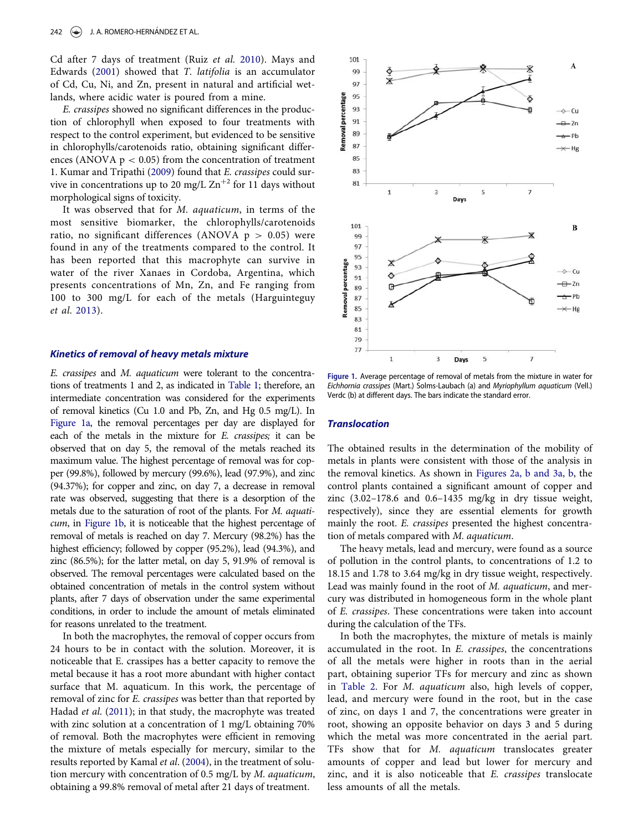<span id="page-4-0"></span>Cd after 7 days of treatment (Ruiz et al. [2010](#page-7-4)). Mays and Edwards ([2001\)](#page-6-20) showed that T. latifolia is an accumulator of Cd, Cu, Ni, and Zn, present in natural and artificial wetlands, where acidic water is poured from a mine.

E. crassipes showed no significant differences in the production of chlorophyll when exposed to four treatments with respect to the control experiment, but evidenced to be sensitive in chlorophylls/carotenoids ratio, obtaining significant differences (ANOVA  $p < 0.05$ ) from the concentration of treatment 1. Kumar and Tripathi ([2009\)](#page-6-21) found that E. crassipes could survive in concentrations up to 20 mg/L  $\text{Zn}^{+2}$  for 11 days without morphological signs of toxicity.

It was observed that for M. aquaticum, in terms of the most sensitive biomarker, the chlorophylls/carotenoids ratio, no significant differences (ANOVA  $p > 0.05$ ) were found in any of the treatments compared to the control. It has been reported that this macrophyte can survive in water of the river Xanaes in Cordoba, Argentina, which presents concentrations of Mn, Zn, and Fe ranging from 100 to 300 mg/L for each of the metals (Harguinteguy et al. [2013](#page-6-22)).

#### Kinetics of removal of heavy metals mixture

E. crassipes and M. aquaticum were tolerant to the concentrations of treatments 1 and 2, as indicated in [Table 1](#page-2-0); therefore, an intermediate concentration was considered for the experiments of removal kinetics (Cu 1.0 and Pb, Zn, and Hg 0.5 mg/L). In [Figure 1a,](#page-4-0) the removal percentages per day are displayed for each of the metals in the mixture for E. crassipes; it can be observed that on day 5, the removal of the metals reached its maximum value. The highest percentage of removal was for copper (99.8%), followed by mercury (99.6%), lead (97.9%), and zinc (94.37%); for copper and zinc, on day 7, a decrease in removal rate was observed, suggesting that there is a desorption of the metals due to the saturation of root of the plants. For M. aquaticum, in [Figure 1b,](#page-4-0) it is noticeable that the highest percentage of removal of metals is reached on day 7. Mercury (98.2%) has the highest efficiency; followed by copper (95.2%), lead (94.3%), and zinc (86.5%); for the latter metal, on day 5, 91.9% of removal is observed. The removal percentages were calculated based on the obtained concentration of metals in the control system without plants, after 7 days of observation under the same experimental conditions, in order to include the amount of metals eliminated for reasons unrelated to the treatment.

In both the macrophytes, the removal of copper occurs from 24 hours to be in contact with the solution. Moreover, it is noticeable that E. crassipes has a better capacity to remove the metal because it has a root more abundant with higher contact surface that M. aquaticum. In this work, the percentage of removal of zinc for E. crassipes was better than that reported by Hadad et al. ([2011\)](#page-6-23); in that study, the macrophyte was treated with zinc solution at a concentration of 1 mg/L obtaining 70% of removal. Both the macrophytes were efficient in removing the mixture of metals especially for mercury, similar to the results reported by Kamal et al. ([2004\)](#page-6-24), in the treatment of solution mercury with concentration of 0.5 mg/L by M. aquaticum, obtaining a 99.8% removal of metal after 21 days of treatment.



Figure 1. Average percentage of removal of metals from the mixture in water for Eichhornia crassipes (Mart.) Solms-Laubach (a) and Myriophyllum aquaticum (Vell.) Verdc (b) at different days. The bars indicate the standard error.

## **Translocation**

The obtained results in the determination of the mobility of metals in plants were consistent with those of the analysis in the removal kinetics. As shown in Figures 2a, b and 3a, b, the control plants contained a significant amount of copper and zinc (3.02–178.6 and 0.6–1435 mg/kg in dry tissue weight, respectively), since they are essential elements for growth mainly the root. E. crassipes presented the highest concentration of metals compared with M. aquaticum.

The heavy metals, lead and mercury, were found as a source of pollution in the control plants, to concentrations of 1.2 to 18.15 and 1.78 to 3.64 mg/kg in dry tissue weight, respectively. Lead was mainly found in the root of M. aquaticum, and mercury was distributed in homogeneous form in the whole plant of E. crassipes. These concentrations were taken into account during the calculation of the TFs.

In both the macrophytes, the mixture of metals is mainly accumulated in the root. In E. crassipes, the concentrations of all the metals were higher in roots than in the aerial part, obtaining superior TFs for mercury and zinc as shown in [Table 2](#page-5-0). For M. aquaticum also, high levels of copper, lead, and mercury were found in the root, but in the case of zinc, on days 1 and 7, the concentrations were greater in root, showing an opposite behavior on days 3 and 5 during which the metal was more concentrated in the aerial part. TFs show that for M. aquaticum translocates greater amounts of copper and lead but lower for mercury and zinc, and it is also noticeable that E. crassipes translocate less amounts of all the metals.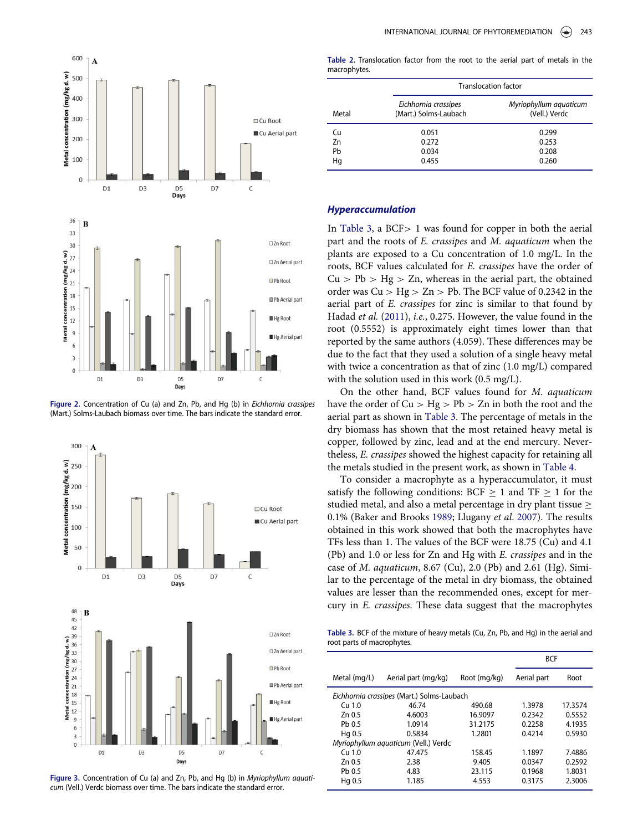<span id="page-5-0"></span>

Figure 2. Concentration of Cu (a) and Zn, Pb, and Hg (b) in Eichhornia crassipes (Mart.) Solms-Laubach biomass over time. The bars indicate the standard error.



<span id="page-5-1"></span>Figure 3. Concentration of Cu (a) and Zn, Pb, and Hg (b) in Myriophyllum aquaticum (Vell.) Verdc biomass over time. The bars indicate the standard error.

Table 2. Translocation factor from the root to the aerial part of metals in the macrophytes.

|       | <b>Translocation factor</b>                   |                                         |  |  |
|-------|-----------------------------------------------|-----------------------------------------|--|--|
| Metal | Eichhornia crassipes<br>(Mart.) Solms-Laubach | Myriophyllum aquaticum<br>(Vell.) Verdc |  |  |
| Cu    | 0.051                                         | 0.299                                   |  |  |
| Zn    | 0.272                                         | 0.253                                   |  |  |
| Pb    | 0.034                                         | 0.208                                   |  |  |
| Hq    | 0.455                                         | 0.260                                   |  |  |

#### Hyperaccumulation

In [Table 3](#page-5-1), a BCF> 1 was found for copper in both the aerial part and the roots of E. crassipes and M. aquaticum when the plants are exposed to a Cu concentration of 1.0 mg/L. In the roots, BCF values calculated for E. crassipes have the order of  $Cu > Pb > Hg > Zn$ , whereas in the aerial part, the obtained order was  $Cu > Hg > Zn > Pb$ . The BCF value of 0.2342 in the aerial part of E. crassipes for zinc is similar to that found by Hadad et al. [\(2011\)](#page-6-23), i.e., 0.275. However, the value found in the root (0.5552) is approximately eight times lower than that reported by the same authors (4.059). These differences may be due to the fact that they used a solution of a single heavy metal with twice a concentration as that of zinc (1.0 mg/L) compared with the solution used in this work (0.5 mg/L).

On the other hand, BCF values found for M. aquaticum have the order of  $Cu > Hg > Pb > Zn$  in both the root and the aerial part as shown in [Table 3](#page-5-1). The percentage of metals in the dry biomass has shown that the most retained heavy metal is copper, followed by zinc, lead and at the end mercury. Nevertheless, E. crassipes showed the highest capacity for retaining all the metals studied in the present work, as shown in [Table 4.](#page-6-25)

To consider a macrophyte as a hyperaccumulator, it must satisfy the following conditions: BCF  $\geq 1$  and TF  $\geq 1$  for the studied metal, and also a metal percentage in dry plant tissue  $\geq$ 0.1% (Baker and Brooks [1989;](#page-6-17) Llugany et al. [2007\)](#page-6-10). The results obtained in this work showed that both the macrophytes have TFs less than 1. The values of the BCF were 18.75 (Cu) and 4.1 (Pb) and 1.0 or less for Zn and Hg with E. crassipes and in the case of *M. aquaticum*, 8.67 (Cu), 2.0 (Pb) and 2.61 (Hg). Similar to the percentage of the metal in dry biomass, the obtained values are lesser than the recommended ones, except for mercury in E. crassipes. These data suggest that the macrophytes

Table 3. BCF of the mixture of heavy metals (Cu, Zn, Pb, and Hg) in the aerial and root parts of macrophytes.

|                                            |                     |              | <b>BCF</b>  |         |  |
|--------------------------------------------|---------------------|--------------|-------------|---------|--|
| Metal (mg/L)                               | Aerial part (mg/kg) | Root (mg/kg) | Aerial part | Root    |  |
| Eichhornia crassipes (Mart.) Solms-Laubach |                     |              |             |         |  |
| $Cu$ 1.0                                   | 46.74               | 490.68       | 1.3978      | 17.3574 |  |
| Zn 0.5                                     | 4.6003              | 16.9097      | 0.2342      | 0.5552  |  |
| Pb 0.5                                     | 1.0914              | 31.2175      | 0.2258      | 4.1935  |  |
| Hg 0.5                                     | 0.5834              | 1.2801       | 0.4214      | 0.5930  |  |
| Myriophyllum aquaticum (Vell.) Verdc       |                     |              |             |         |  |
| $Cu$ 1.0                                   | 47.475              | 158.45       | 1.1897      | 7.4886  |  |
| Zn 0.5                                     | 2.38                | 9.405        | 0.0347      | 0.2592  |  |
| Pb 0.5                                     | 4.83                | 23.115       | 0.1968      | 1.8031  |  |
| Hg 0.5                                     | 1.185               | 4.553        | 0.3175      | 2.3006  |  |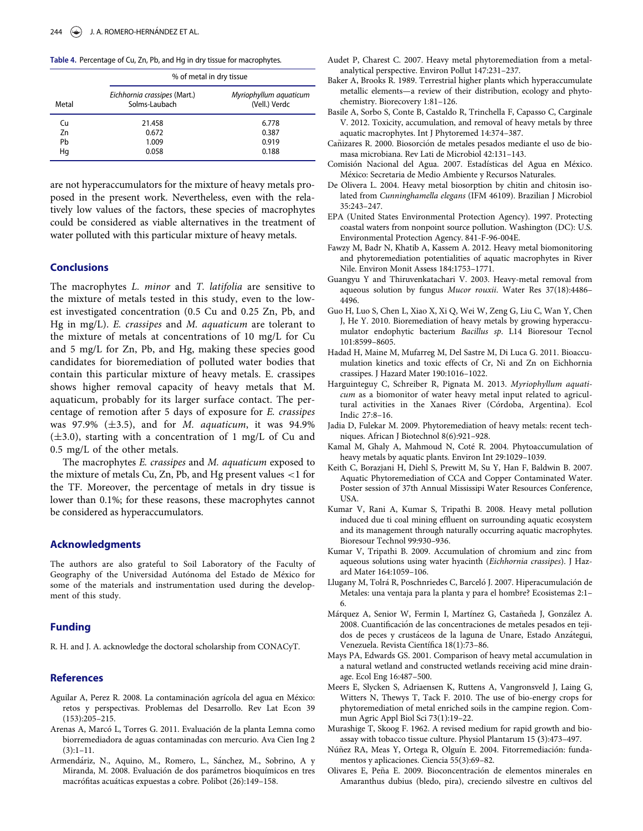<span id="page-6-25"></span><span id="page-6-8"></span>Table 4. Percentage of Cu, Zn, Pb, and Hg in dry tissue for macrophytes.

<span id="page-6-18"></span><span id="page-6-17"></span>

|       | % of metal in dry tissue                      |                                         |  |  |
|-------|-----------------------------------------------|-----------------------------------------|--|--|
| Metal | Eichhornia crassipes (Mart.)<br>Solms-Laubach | Myriophyllum aquaticum<br>(Vell.) Verdc |  |  |
| Cu    | 21.458                                        | 6.778                                   |  |  |
| Zn    | 0.672                                         | 0.387                                   |  |  |
| Pb    | 1.009                                         | 0.919                                   |  |  |
| Hq    | 0.058                                         | 0.188                                   |  |  |

<span id="page-6-15"></span><span id="page-6-9"></span><span id="page-6-5"></span><span id="page-6-4"></span>are not hyperaccumulators for the mixture of heavy metals proposed in the present work. Nevertheless, even with the relatively low values of the factors, these species of macrophytes could be considered as viable alternatives in the treatment of water polluted with this particular mixture of heavy metals.

## <span id="page-6-12"></span>**Conclusions**

<span id="page-6-23"></span><span id="page-6-7"></span><span id="page-6-6"></span>The macrophytes L. minor and T. latifolia are sensitive to the mixture of metals tested in this study, even to the lowest investigated concentration (0.5 Cu and 0.25 Zn, Pb, and Hg in mg/L). E. crassipes and M. aquaticum are tolerant to the mixture of metals at concentrations of 10 mg/L for Cu and 5 mg/L for Zn, Pb, and Hg, making these species good candidates for bioremediation of polluted water bodies that contain this particular mixture of heavy metals. E. crassipes shows higher removal capacity of heavy metals that M. aquaticum, probably for its larger surface contact. The percentage of remotion after 5 days of exposure for E. crassipes was 97.9%  $(\pm 3.5)$ , and for M. aquaticum, it was 94.9%  $(\pm 3.0)$ , starting with a concentration of 1 mg/L of Cu and 0.5 mg/L of the other metals.

<span id="page-6-24"></span><span id="page-6-22"></span><span id="page-6-19"></span><span id="page-6-0"></span>The macrophytes E. crassipes and M. aquaticum exposed to the mixture of metals Cu, Zn, Pb, and Hg present values <1 for the TF. Moreover, the percentage of metals in dry tissue is lower than 0.1%; for these reasons, these macrophytes cannot be considered as hyperaccumulators.

#### <span id="page-6-21"></span><span id="page-6-11"></span>Acknowledgments

<span id="page-6-10"></span>The authors are also grateful to Soil Laboratory of the Faculty of Geography of the Universidad Autónoma del Estado de México for some of the materials and instrumentation used during the development of this study.

## <span id="page-6-1"></span>Funding

<span id="page-6-20"></span>R. H. and J. A. acknowledge the doctoral scholarship from CONACyT.

#### <span id="page-6-3"></span>References

- Aguilar A, Perez R. 2008. La contaminación agrícola del agua en México: retos y perspectivas. Problemas del Desarrollo. Rev Lat Econ 39 (153):205–215.
- <span id="page-6-14"></span><span id="page-6-13"></span>Arenas A, Marcó L, Torres G. 2011. Evaluación de la planta Lemna como biorremediadora de aguas contaminadas con mercurio. Ava Cien Ing 2  $(3):1-11.$
- <span id="page-6-16"></span><span id="page-6-2"></span>Armendáriz, N., Aquino, M., Romero, L., Sánchez, M., Sobrino, A y Miranda, M. 2008. Evaluación de dos parámetros bioquímicos en tres macrófitas acuáticas expuestas a cobre. Polibot (26):149-158.
- Audet P, Charest C. 2007. Heavy metal phytoremediation from a metalanalytical perspective. Environ Pollut 147:231–237.
- Baker A, Brooks R. 1989. Terrestrial higher plants which hyperaccumulate metallic elements—a review of their distribution, ecology and phytochemistry. Biorecovery 1:81–126.
- Basile A, Sorbo S, Conte B, Castaldo R, Trinchella F, Capasso C, Carginale V. 2012. Toxicity, accumulation, and removal of heavy metals by three aquatic macrophytes. Int J Phytoremed 14:374–387.
- Cañizares R. 2000. Biosorción de metales pesados mediante el uso de biomasa microbiana. Rev Lati de Microbiol 42:131–143.
- Comisión Nacional del Agua. 2007. Estadísticas del Agua en México. Mexico: Secretaria de Medio Ambiente y Recursos Naturales.
- De Olivera L. 2004. Heavy metal biosorption by chitin and chitosin isolated from Cunninghamella elegans (IFM 46109). Brazilian J Microbiol 35:243–247.
- EPA (United States Environmental Protection Agency). 1997. Protecting coastal waters from nonpoint source pollution. Washington (DC): U.S. Environmental Protection Agency. 841-F-96-004E.
- Fawzy M, Badr N, Khatib A, Kassem A. 2012. Heavy metal biomonitoring and phytoremediation potentialities of aquatic macrophytes in River Nile. Environ Monit Assess 184:1753–1771.
- Guangyu Y and Thiruvenkatachari V. 2003. Heavy-metal removal from aqueous solution by fungus Mucor rouxii. Water Res 37(18):4486– 4496.
- Guo H, Luo S, Chen L, Xiao X, Xi Q, Wei W, Zeng G, Liu C, Wan Y, Chen J, He Y. 2010. Bioremediation of heavy metals by growing hyperaccumulator endophytic bacterium Bacillus sp. L14 Bioresour Tecnol 101:8599–8605.
- Hadad H, Maine M, Mufarreg M, Del Sastre M, Di Luca G. 2011. Bioaccumulation kinetics and toxic effects of Cr, Ni and Zn on Eichhornia crassipes. J Hazard Mater 190:1016–1022.
- Harguinteguy C, Schreiber R, Pignata M. 2013. Myriophyllum aquaticum as a biomonitor of water heavy metal input related to agricultural activities in the Xanaes River (Córdoba, Argentina). Ecol Indic 27:8–16.
- Jadia D, Fulekar M. 2009. Phytoremediation of heavy metals: recent techniques. African J Biotechnol 8(6):921–928.
- Kamal M, Ghaly A, Mahmoud N, Coté R. 2004. Phytoaccumulation of heavy metals by aquatic plants. Environ Int 29:1029–1039.
- Keith C, Borazjani H, Diehl S, Prewitt M, Su Y, Han F, Baldwin B. 2007. Aquatic Phytoremediation of CCA and Copper Contaminated Water. Poster session of 37th Annual Mississipi Water Resources Conference, USA.
- Kumar V, Rani A, Kumar S, Tripathi B. 2008. Heavy metal pollution induced due ti coal mining effluent on surrounding aquatic ecosystem and its management through naturally occurring aquatic macrophytes. Bioresour Technol 99:930–936.
- Kumar V, Tripathi B. 2009. Accumulation of chromium and zinc from aqueous solutions using water hyacinth (Eichhornia crassipes). J Hazard Mater 164:1059–106.
- Llugany M, Tolrá R, Poschnriedes C, Barceló J. 2007. Hiperacumulación de Metales: una ventaja para la planta y para el hombre? Ecosistemas 2:1– 6.
- Márquez A, Senior W, Fermin I, Martínez G, Castañeda J, González A. 2008. Cuantificacion de las concentraciones de metales pesados en tejidos de peces y crustáceos de la laguna de Unare, Estado Anzátegui, Venezuela. Revista Científica 18(1):73-86.
- Mays PA, Edwards GS. 2001. Comparison of heavy metal accumulation in a natural wetland and constructed wetlands receiving acid mine drainage. Ecol Eng 16:487–500.
- Meers E, Slycken S, Adriaensen K, Ruttens A, Vangronsveld J, Laing G, Witters N, Thewys T, Tack F. 2010. The use of bio-energy crops for phytoremediation of metal enriched soils in the campine region. Commun Agric Appl Biol Sci 73(1):19–22.
- Murashige T, Skoog F. 1962. A revised medium for rapid growth and bioassay with tobacco tissue culture. Physiol Plantarum 15 (3):473–497.
- Núñez RA, Meas Y, Ortega R, Olguín E. 2004. Fitorremediación: fundamentos y aplicaciones. Ciencia 55(3):69–82.
- Olivares E, Peña E. 2009. Bioconcentración de elementos minerales en Amaranthus dubius (bledo, pira), creciendo silvestre en cultivos del